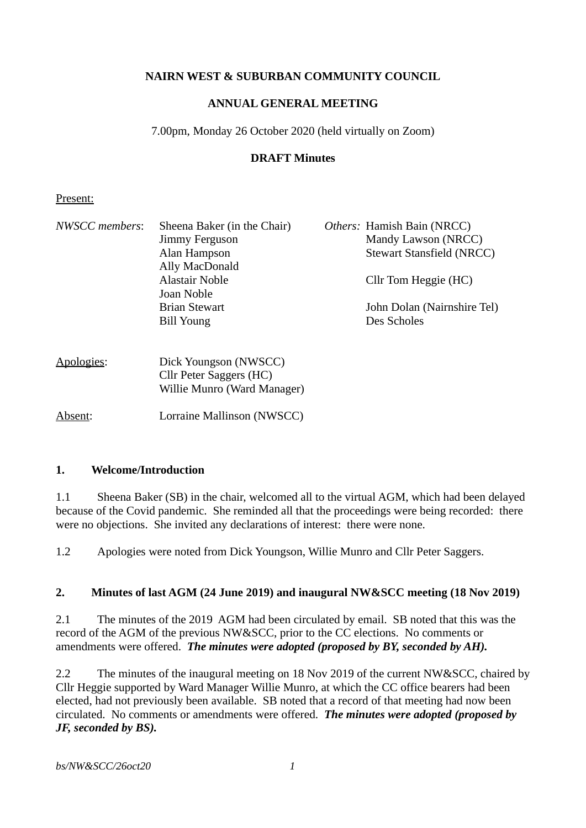## **NAIRN WEST & SUBURBAN COMMUNITY COUNCIL**

### **ANNUAL GENERAL MEETING**

7.00pm, Monday 26 October 2020 (held virtually on Zoom)

### **DRAFT Minutes**

#### Present:

| NWSCC members: | Sheena Baker (in the Chair) | Others: Hamish Bain (NRCC)       |
|----------------|-----------------------------|----------------------------------|
|                | Jimmy Ferguson              | Mandy Lawson (NRCC)              |
|                | Alan Hampson                | <b>Stewart Stansfield (NRCC)</b> |
|                | Ally MacDonald              |                                  |
|                | <b>Alastair Noble</b>       | Cllr Tom Heggie (HC)             |
|                | Joan Noble                  |                                  |
|                | <b>Brian Stewart</b>        | John Dolan (Nairnshire Tel)      |
|                | <b>Bill Young</b>           | Des Scholes                      |
| Apologies:     | Dick Youngson (NWSCC)       |                                  |
|                | Cllr Peter Saggers (HC)     |                                  |
|                | Willie Munro (Ward Manager) |                                  |
| Absent:        | Lorraine Mallinson (NWSCC)  |                                  |

#### **1. Welcome/Introduction**

1.1 Sheena Baker (SB) in the chair, welcomed all to the virtual AGM, which had been delayed because of the Covid pandemic. She reminded all that the proceedings were being recorded: there were no objections. She invited any declarations of interest: there were none.

1.2 Apologies were noted from Dick Youngson, Willie Munro and Cllr Peter Saggers.

#### **2. Minutes of last AGM (24 June 2019) and inaugural NW&SCC meeting (18 Nov 2019)**

2.1 The minutes of the 2019 AGM had been circulated by email. SB noted that this was the record of the AGM of the previous NW&SCC, prior to the CC elections. No comments or amendments were offered. *The minutes were adopted (proposed by BY, seconded by AH).*

2.2 The minutes of the inaugural meeting on 18 Nov 2019 of the current NW&SCC, chaired by Cllr Heggie supported by Ward Manager Willie Munro, at which the CC office bearers had been elected, had not previously been available. SB noted that a record of that meeting had now been circulated. No comments or amendments were offered. *The minutes were adopted (proposed by JF, seconded by BS).*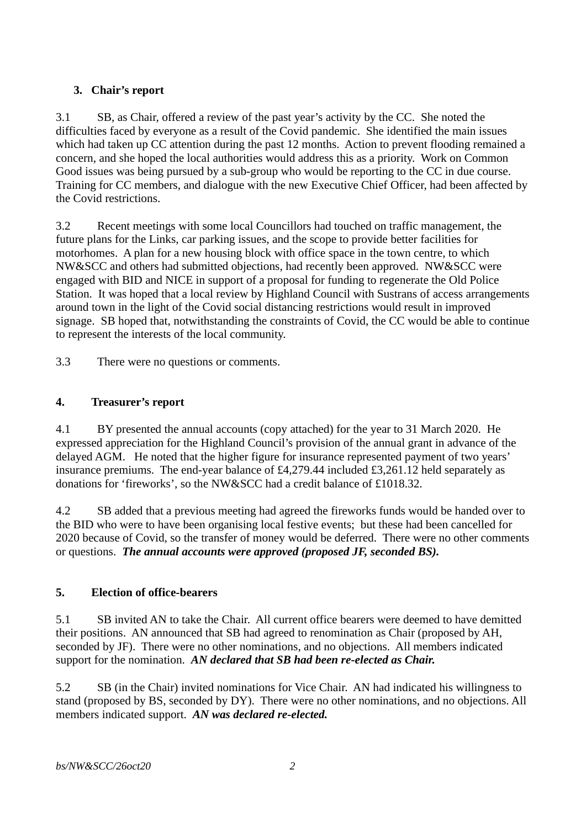# **3. Chair's report**

3.1 SB, as Chair, offered a review of the past year's activity by the CC. She noted the difficulties faced by everyone as a result of the Covid pandemic. She identified the main issues which had taken up CC attention during the past 12 months. Action to prevent flooding remained a concern, and she hoped the local authorities would address this as a priority. Work on Common Good issues was being pursued by a sub-group who would be reporting to the CC in due course. Training for CC members, and dialogue with the new Executive Chief Officer, had been affected by the Covid restrictions.

3.2 Recent meetings with some local Councillors had touched on traffic management, the future plans for the Links, car parking issues, and the scope to provide better facilities for motorhomes. A plan for a new housing block with office space in the town centre, to which NW&SCC and others had submitted objections, had recently been approved. NW&SCC were engaged with BID and NICE in support of a proposal for funding to regenerate the Old Police Station. It was hoped that a local review by Highland Council with Sustrans of access arrangements around town in the light of the Covid social distancing restrictions would result in improved signage. SB hoped that, notwithstanding the constraints of Covid, the CC would be able to continue to represent the interests of the local community.

3.3 There were no questions or comments.

## **4. Treasurer's report**

4.1 BY presented the annual accounts (copy attached) for the year to 31 March 2020. He expressed appreciation for the Highland Council's provision of the annual grant in advance of the delayed AGM. He noted that the higher figure for insurance represented payment of two years' insurance premiums. The end-year balance of £4,279.44 included £3,261.12 held separately as donations for 'fireworks', so the NW&SCC had a credit balance of £1018.32.

4.2 SB added that a previous meeting had agreed the fireworks funds would be handed over to the BID who were to have been organising local festive events; but these had been cancelled for 2020 because of Covid, so the transfer of money would be deferred. There were no other comments or questions. *The annual accounts were approved (proposed JF, seconded BS).*

## **5. Election of office-bearers**

5.1 SB invited AN to take the Chair. All current office bearers were deemed to have demitted their positions. AN announced that SB had agreed to renomination as Chair (proposed by AH, seconded by JF). There were no other nominations, and no objections. All members indicated support for the nomination. *AN declared that SB had been re-elected as Chair.*

5.2 SB (in the Chair) invited nominations for Vice Chair. AN had indicated his willingness to stand (proposed by BS, seconded by DY). There were no other nominations, and no objections. All members indicated support. *AN was declared re-elected.*